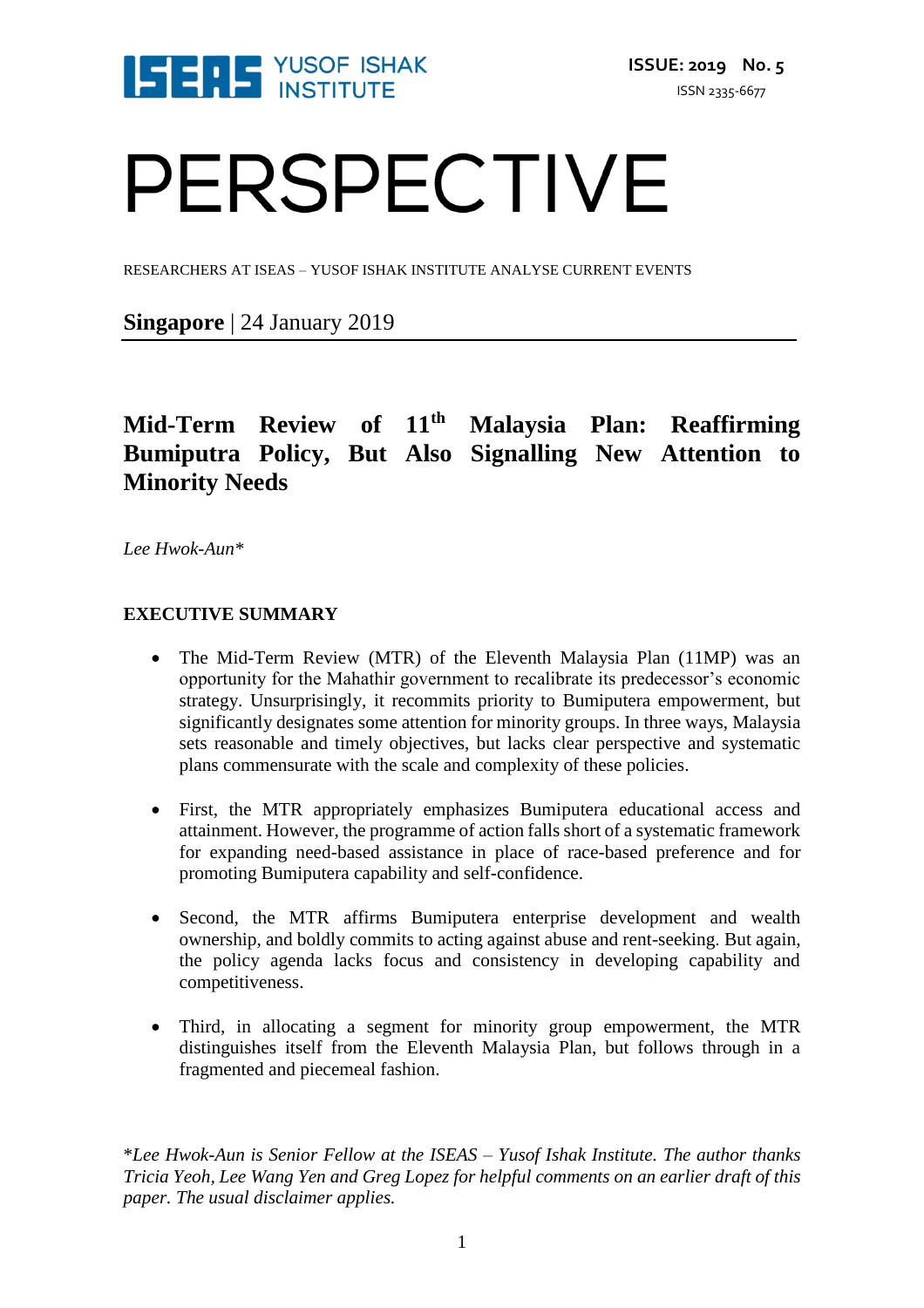

# PERSPECTIVE

RESEARCHERS AT ISEAS – YUSOF ISHAK INSTITUTE ANALYSE CURRENT EVENTS

**Singapore** | 24 January 2019

# **Mid-Term Review of 11th Malaysia Plan: Reaffirming Bumiputra Policy, But Also Signalling New Attention to Minority Needs**

*Lee Hwok-Aun\**

# **EXECUTIVE SUMMARY**

- The Mid-Term Review (MTR) of the Eleventh Malaysia Plan (11MP) was an opportunity for the Mahathir government to recalibrate its predecessor's economic strategy. Unsurprisingly, it recommits priority to Bumiputera empowerment, but significantly designates some attention for minority groups. In three ways, Malaysia sets reasonable and timely objectives, but lacks clear perspective and systematic plans commensurate with the scale and complexity of these policies.
- First, the MTR appropriately emphasizes Bumiputera educational access and attainment. However, the programme of action falls short of a systematic framework for expanding need-based assistance in place of race-based preference and for promoting Bumiputera capability and self-confidence.
- Second, the MTR affirms Bumiputera enterprise development and wealth ownership, and boldly commits to acting against abuse and rent-seeking. But again, the policy agenda lacks focus and consistency in developing capability and competitiveness.
- Third, in allocating a segment for minority group empowerment, the MTR distinguishes itself from the Eleventh Malaysia Plan, but follows through in a fragmented and piecemeal fashion.

\**Lee Hwok-Aun is Senior Fellow at the ISEAS – Yusof Ishak Institute. The author thanks Tricia Yeoh, Lee Wang Yen and Greg Lopez for helpful comments on an earlier draft of this paper. The usual disclaimer applies.*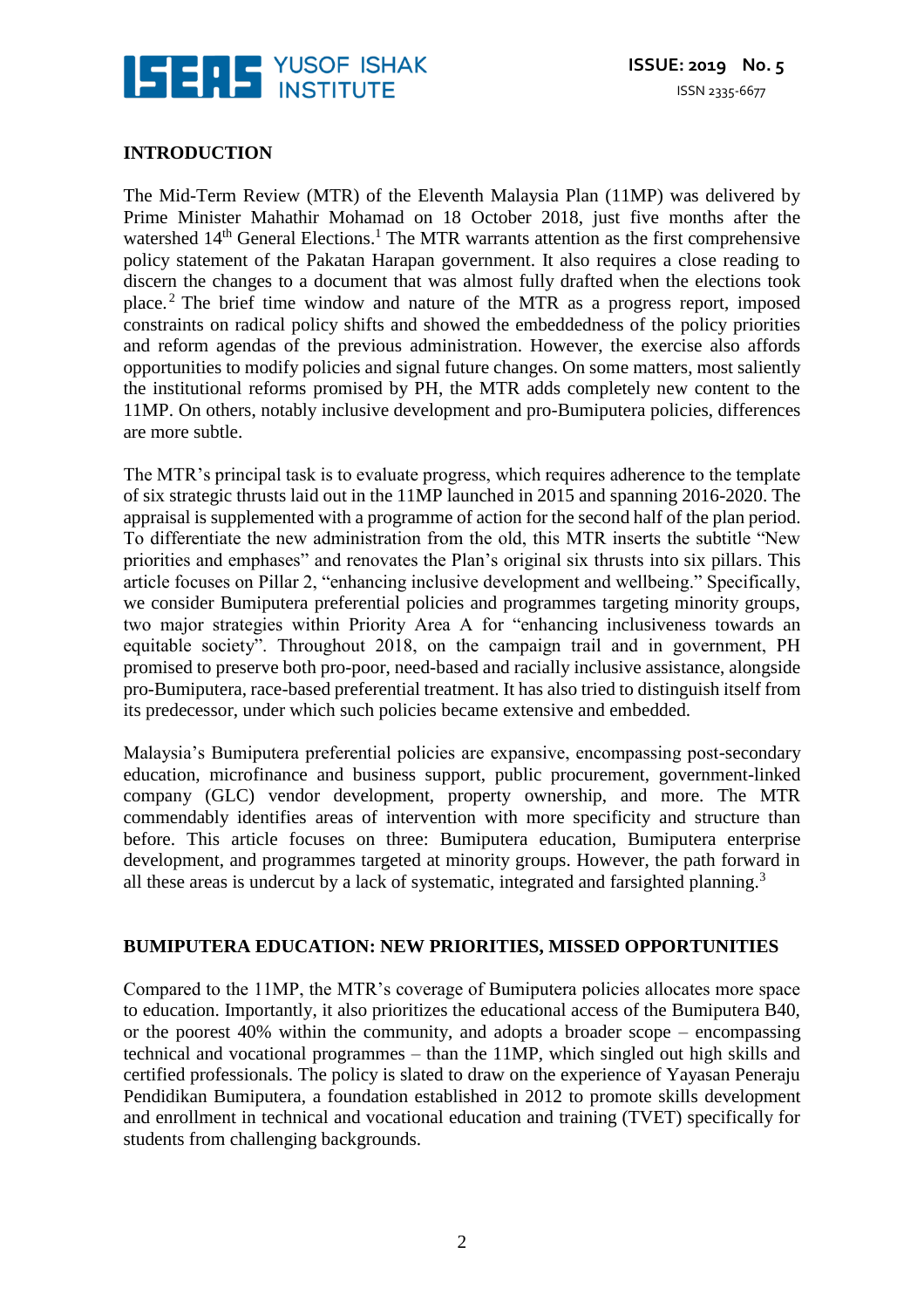

# **INTRODUCTION**

The Mid-Term Review (MTR) of the Eleventh Malaysia Plan (11MP) was delivered by Prime Minister Mahathir Mohamad on 18 October 2018, just five months after the watershed 14<sup>th</sup> General Elections.<sup>1</sup> The MTR warrants attention as the first comprehensive policy statement of the Pakatan Harapan government. It also requires a close reading to discern the changes to a document that was almost fully drafted when the elections took place. <sup>2</sup> The brief time window and nature of the MTR as a progress report, imposed constraints on radical policy shifts and showed the embeddedness of the policy priorities and reform agendas of the previous administration. However, the exercise also affords opportunities to modify policies and signal future changes. On some matters, most saliently the institutional reforms promised by PH, the MTR adds completely new content to the 11MP. On others, notably inclusive development and pro-Bumiputera policies, differences are more subtle.

The MTR's principal task is to evaluate progress, which requires adherence to the template of six strategic thrusts laid out in the 11MP launched in 2015 and spanning 2016-2020. The appraisal is supplemented with a programme of action for the second half of the plan period. To differentiate the new administration from the old, this MTR inserts the subtitle "New priorities and emphases" and renovates the Plan's original six thrusts into six pillars. This article focuses on Pillar 2, "enhancing inclusive development and wellbeing." Specifically, we consider Bumiputera preferential policies and programmes targeting minority groups, two major strategies within Priority Area A for "enhancing inclusiveness towards an equitable society". Throughout 2018, on the campaign trail and in government, PH promised to preserve both pro-poor, need-based and racially inclusive assistance, alongside pro-Bumiputera, race-based preferential treatment. It has also tried to distinguish itself from its predecessor, under which such policies became extensive and embedded.

Malaysia's Bumiputera preferential policies are expansive, encompassing post-secondary education, microfinance and business support, public procurement, government-linked company (GLC) vendor development, property ownership, and more. The MTR commendably identifies areas of intervention with more specificity and structure than before. This article focuses on three: Bumiputera education, Bumiputera enterprise development, and programmes targeted at minority groups. However, the path forward in all these areas is undercut by a lack of systematic, integrated and farsighted planning.<sup>3</sup>

#### **BUMIPUTERA EDUCATION: NEW PRIORITIES, MISSED OPPORTUNITIES**

Compared to the 11MP, the MTR's coverage of Bumiputera policies allocates more space to education. Importantly, it also prioritizes the educational access of the Bumiputera B40, or the poorest 40% within the community, and adopts a broader scope – encompassing technical and vocational programmes – than the 11MP, which singled out high skills and certified professionals. The policy is slated to draw on the experience of Yayasan Peneraju Pendidikan Bumiputera, a foundation established in 2012 to promote skills development and enrollment in technical and vocational education and training (TVET) specifically for students from challenging backgrounds.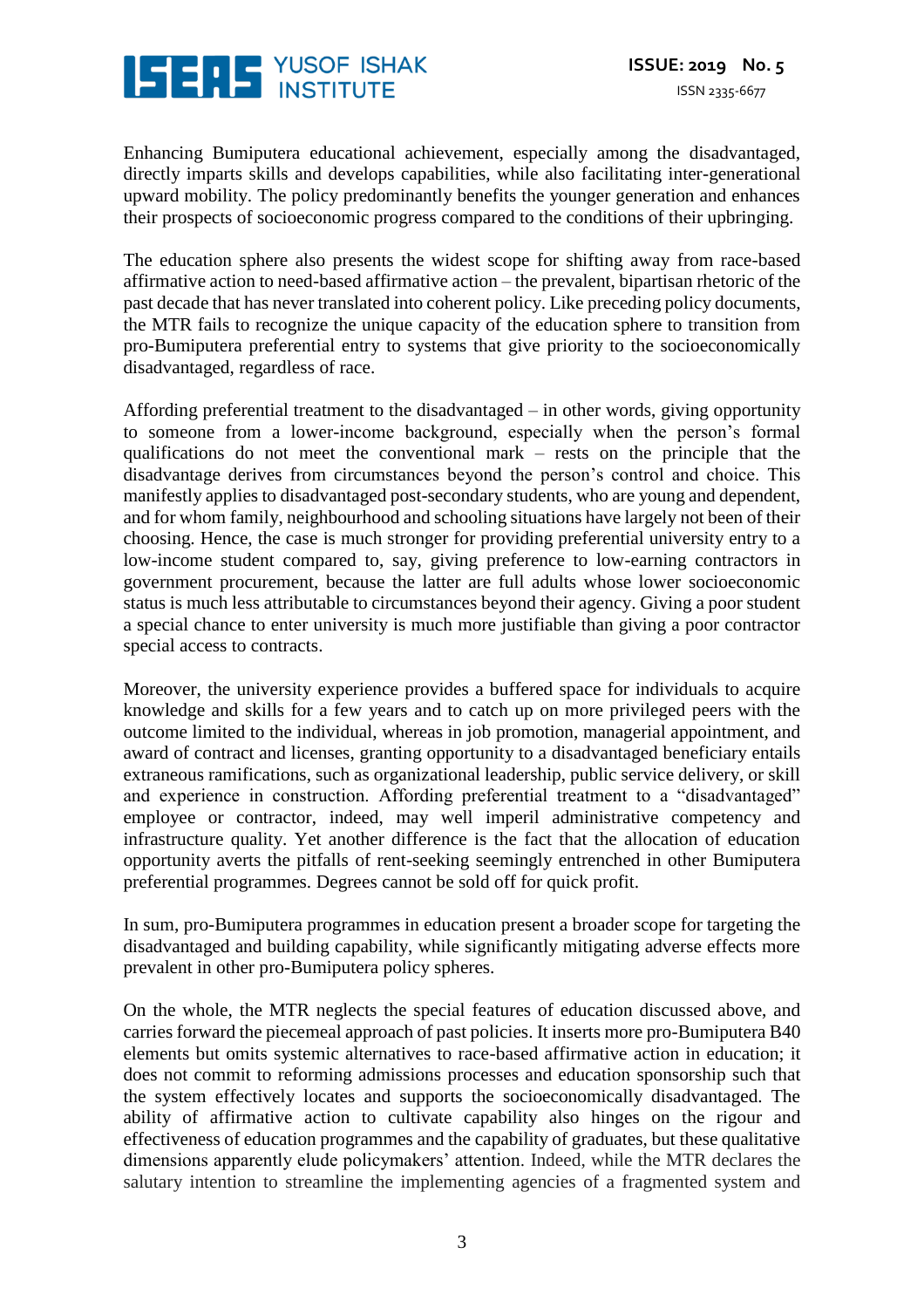

Enhancing Bumiputera educational achievement, especially among the disadvantaged, directly imparts skills and develops capabilities, while also facilitating inter-generational upward mobility. The policy predominantly benefits the younger generation and enhances their prospects of socioeconomic progress compared to the conditions of their upbringing.

The education sphere also presents the widest scope for shifting away from race-based affirmative action to need-based affirmative action – the prevalent, bipartisan rhetoric of the past decade that has never translated into coherent policy. Like preceding policy documents, the MTR fails to recognize the unique capacity of the education sphere to transition from pro-Bumiputera preferential entry to systems that give priority to the socioeconomically disadvantaged, regardless of race.

Affording preferential treatment to the disadvantaged – in other words, giving opportunity to someone from a lower-income background, especially when the person's formal qualifications do not meet the conventional mark – rests on the principle that the disadvantage derives from circumstances beyond the person's control and choice. This manifestly applies to disadvantaged post-secondary students, who are young and dependent, and for whom family, neighbourhood and schooling situations have largely not been of their choosing. Hence, the case is much stronger for providing preferential university entry to a low-income student compared to, say, giving preference to low-earning contractors in government procurement, because the latter are full adults whose lower socioeconomic status is much less attributable to circumstances beyond their agency. Giving a poor student a special chance to enter university is much more justifiable than giving a poor contractor special access to contracts.

Moreover, the university experience provides a buffered space for individuals to acquire knowledge and skills for a few years and to catch up on more privileged peers with the outcome limited to the individual, whereas in job promotion, managerial appointment, and award of contract and licenses, granting opportunity to a disadvantaged beneficiary entails extraneous ramifications, such as organizational leadership, public service delivery, or skill and experience in construction. Affording preferential treatment to a "disadvantaged" employee or contractor, indeed, may well imperil administrative competency and infrastructure quality. Yet another difference is the fact that the allocation of education opportunity averts the pitfalls of rent-seeking seemingly entrenched in other Bumiputera preferential programmes. Degrees cannot be sold off for quick profit.

In sum, pro-Bumiputera programmes in education present a broader scope for targeting the disadvantaged and building capability, while significantly mitigating adverse effects more prevalent in other pro-Bumiputera policy spheres.

On the whole, the MTR neglects the special features of education discussed above, and carries forward the piecemeal approach of past policies. It inserts more pro-Bumiputera B40 elements but omits systemic alternatives to race-based affirmative action in education; it does not commit to reforming admissions processes and education sponsorship such that the system effectively locates and supports the socioeconomically disadvantaged. The ability of affirmative action to cultivate capability also hinges on the rigour and effectiveness of education programmes and the capability of graduates, but these qualitative dimensions apparently elude policymakers' attention. Indeed, while the MTR declares the salutary intention to streamline the implementing agencies of a fragmented system and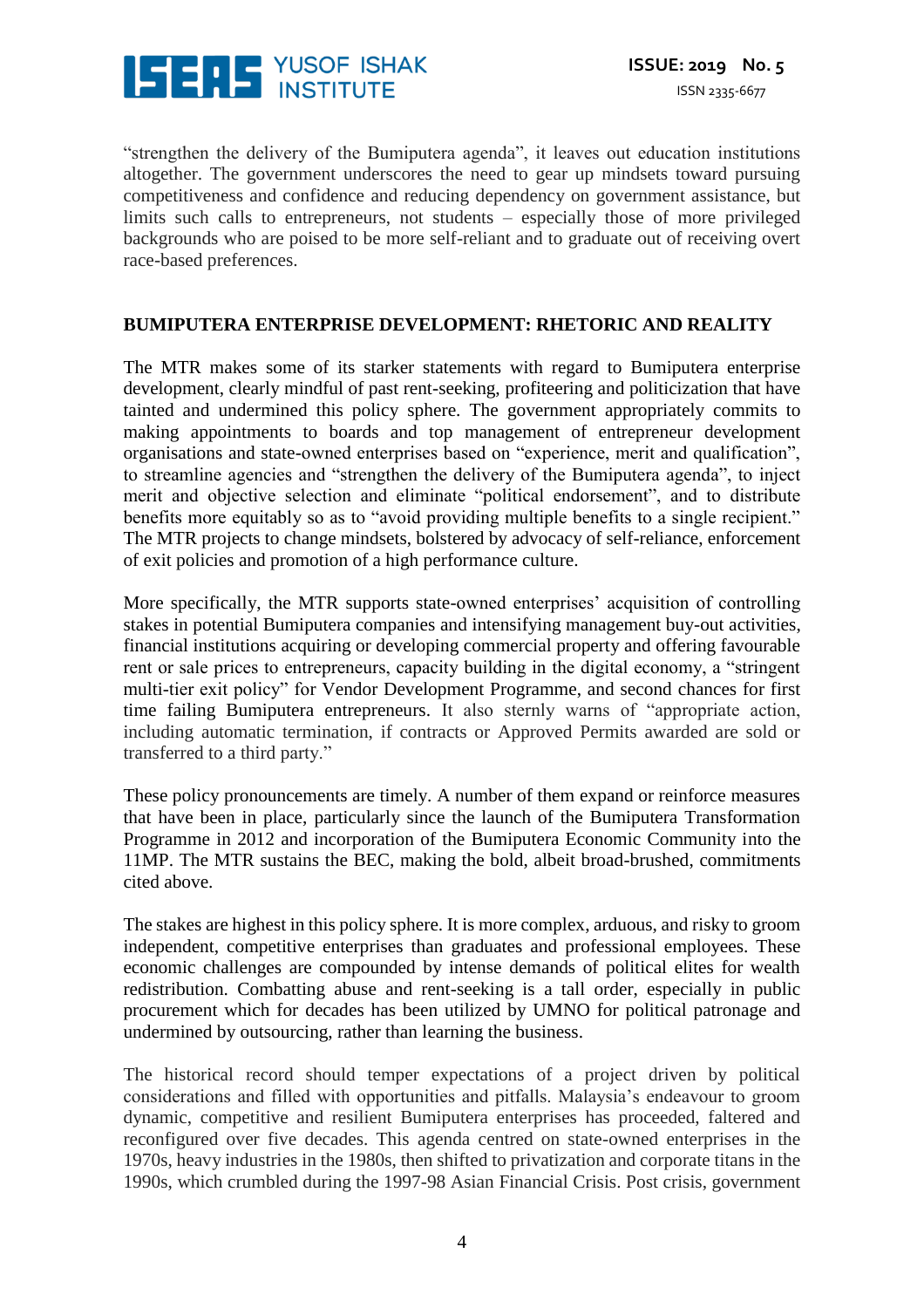

"strengthen the delivery of the Bumiputera agenda", it leaves out education institutions altogether. The government underscores the need to gear up mindsets toward pursuing competitiveness and confidence and reducing dependency on government assistance, but limits such calls to entrepreneurs, not students – especially those of more privileged backgrounds who are poised to be more self-reliant and to graduate out of receiving overt race-based preferences.

#### **BUMIPUTERA ENTERPRISE DEVELOPMENT: RHETORIC AND REALITY**

The MTR makes some of its starker statements with regard to Bumiputera enterprise development, clearly mindful of past rent-seeking, profiteering and politicization that have tainted and undermined this policy sphere. The government appropriately commits to making appointments to boards and top management of entrepreneur development organisations and state-owned enterprises based on "experience, merit and qualification", to streamline agencies and "strengthen the delivery of the Bumiputera agenda", to inject merit and objective selection and eliminate "political endorsement", and to distribute benefits more equitably so as to "avoid providing multiple benefits to a single recipient." The MTR projects to change mindsets, bolstered by advocacy of self-reliance, enforcement of exit policies and promotion of a high performance culture.

More specifically, the MTR supports state-owned enterprises' acquisition of controlling stakes in potential Bumiputera companies and intensifying management buy-out activities, financial institutions acquiring or developing commercial property and offering favourable rent or sale prices to entrepreneurs, capacity building in the digital economy, a "stringent multi-tier exit policy" for Vendor Development Programme, and second chances for first time failing Bumiputera entrepreneurs. It also sternly warns of "appropriate action, including automatic termination, if contracts or Approved Permits awarded are sold or transferred to a third party."

These policy pronouncements are timely. A number of them expand or reinforce measures that have been in place, particularly since the launch of the Bumiputera Transformation Programme in 2012 and incorporation of the Bumiputera Economic Community into the 11MP. The MTR sustains the BEC, making the bold, albeit broad-brushed, commitments cited above.

The stakes are highest in this policy sphere. It is more complex, arduous, and risky to groom independent, competitive enterprises than graduates and professional employees. These economic challenges are compounded by intense demands of political elites for wealth redistribution. Combatting abuse and rent-seeking is a tall order, especially in public procurement which for decades has been utilized by UMNO for political patronage and undermined by outsourcing, rather than learning the business.

The historical record should temper expectations of a project driven by political considerations and filled with opportunities and pitfalls. Malaysia's endeavour to groom dynamic, competitive and resilient Bumiputera enterprises has proceeded, faltered and reconfigured over five decades. This agenda centred on state-owned enterprises in the 1970s, heavy industries in the 1980s, then shifted to privatization and corporate titans in the 1990s, which crumbled during the 1997-98 Asian Financial Crisis. Post crisis, government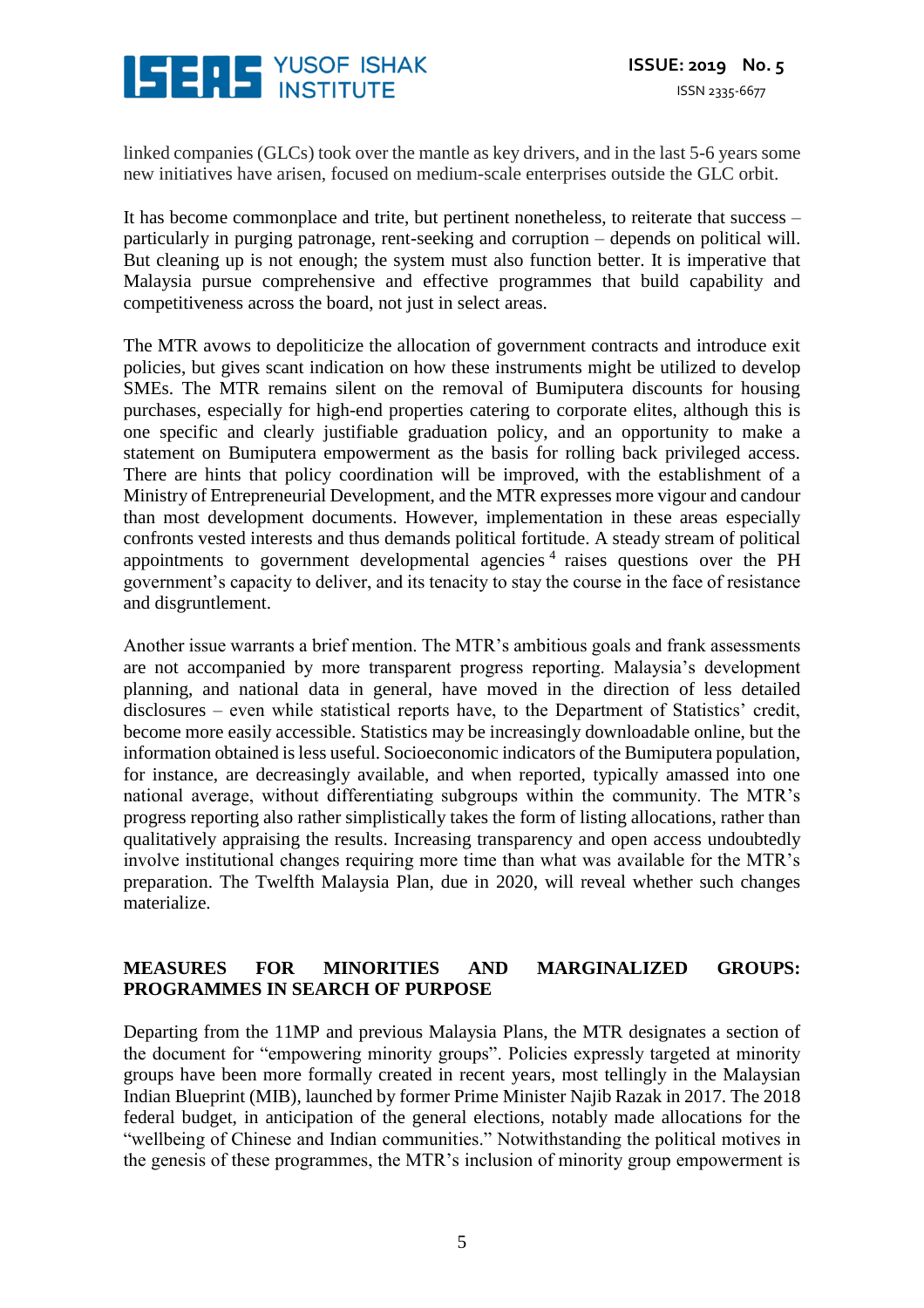

linked companies (GLCs) took over the mantle as key drivers, and in the last 5-6 years some new initiatives have arisen, focused on medium-scale enterprises outside the GLC orbit.

It has become commonplace and trite, but pertinent nonetheless, to reiterate that success – particularly in purging patronage, rent-seeking and corruption – depends on political will. But cleaning up is not enough; the system must also function better. It is imperative that Malaysia pursue comprehensive and effective programmes that build capability and competitiveness across the board, not just in select areas.

The MTR avows to depoliticize the allocation of government contracts and introduce exit policies, but gives scant indication on how these instruments might be utilized to develop SMEs. The MTR remains silent on the removal of Bumiputera discounts for housing purchases, especially for high-end properties catering to corporate elites, although this is one specific and clearly justifiable graduation policy, and an opportunity to make a statement on Bumiputera empowerment as the basis for rolling back privileged access. There are hints that policy coordination will be improved, with the establishment of a Ministry of Entrepreneurial Development, and the MTR expresses more vigour and candour than most development documents. However, implementation in these areas especially confronts vested interests and thus demands political fortitude. A steady stream of political appointments to government developmental agencies<sup>4</sup> raises questions over the PH government's capacity to deliver, and its tenacity to stay the course in the face of resistance and disgruntlement.

Another issue warrants a brief mention. The MTR's ambitious goals and frank assessments are not accompanied by more transparent progress reporting. Malaysia's development planning, and national data in general, have moved in the direction of less detailed disclosures – even while statistical reports have, to the Department of Statistics' credit, become more easily accessible. Statistics may be increasingly downloadable online, but the information obtained is less useful. Socioeconomic indicators of the Bumiputera population, for instance, are decreasingly available, and when reported, typically amassed into one national average, without differentiating subgroups within the community. The MTR's progress reporting also rather simplistically takes the form of listing allocations, rather than qualitatively appraising the results. Increasing transparency and open access undoubtedly involve institutional changes requiring more time than what was available for the MTR's preparation. The Twelfth Malaysia Plan, due in 2020, will reveal whether such changes materialize.

# **MEASURES FOR MINORITIES AND MARGINALIZED GROUPS: PROGRAMMES IN SEARCH OF PURPOSE**

Departing from the 11MP and previous Malaysia Plans, the MTR designates a section of the document for "empowering minority groups". Policies expressly targeted at minority groups have been more formally created in recent years, most tellingly in the Malaysian Indian Blueprint (MIB), launched by former Prime Minister Najib Razak in 2017. The 2018 federal budget, in anticipation of the general elections, notably made allocations for the "wellbeing of Chinese and Indian communities." Notwithstanding the political motives in the genesis of these programmes, the MTR's inclusion of minority group empowerment is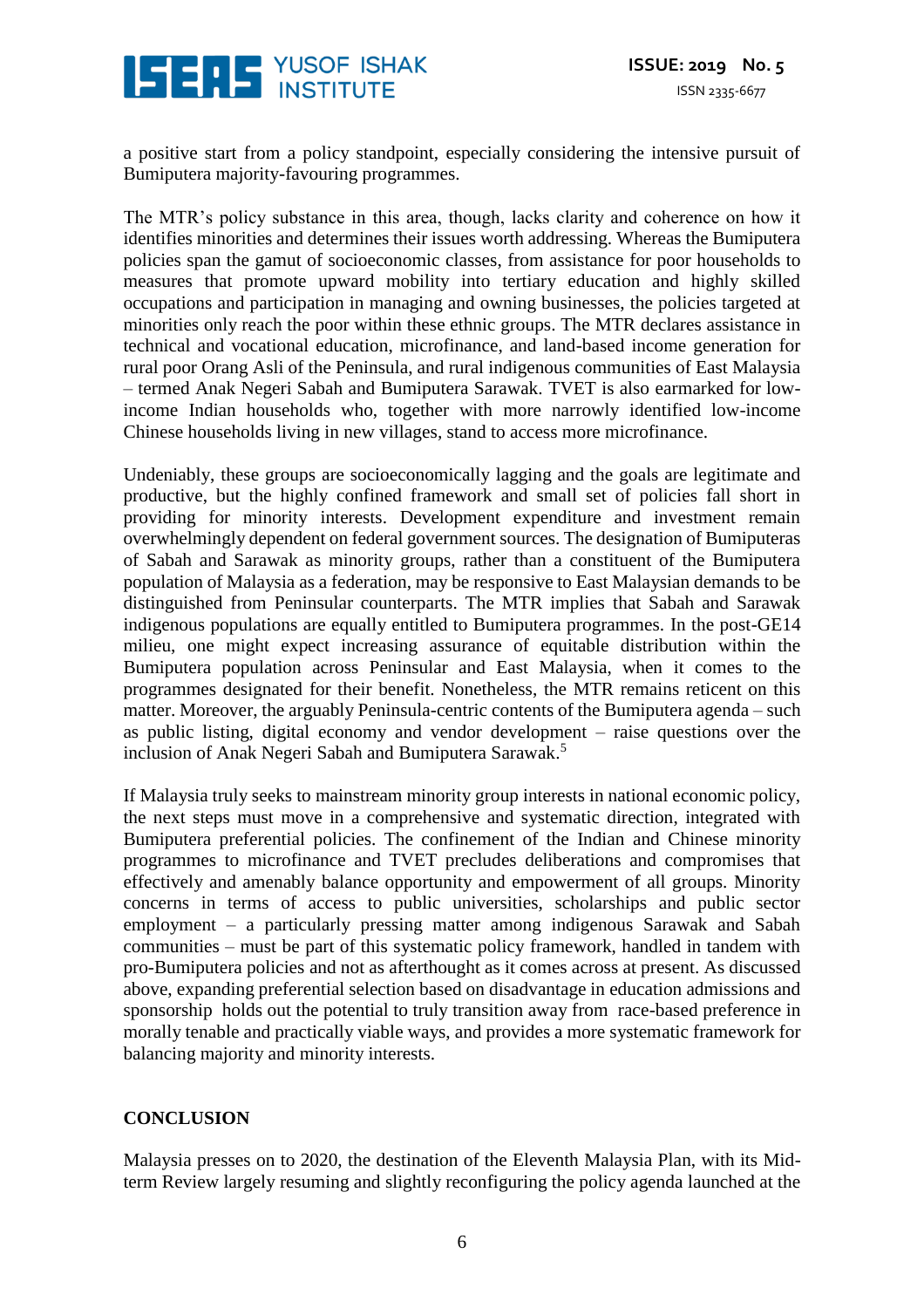

a positive start from a policy standpoint, especially considering the intensive pursuit of Bumiputera majority-favouring programmes.

The MTR's policy substance in this area, though, lacks clarity and coherence on how it identifies minorities and determines their issues worth addressing. Whereas the Bumiputera policies span the gamut of socioeconomic classes, from assistance for poor households to measures that promote upward mobility into tertiary education and highly skilled occupations and participation in managing and owning businesses, the policies targeted at minorities only reach the poor within these ethnic groups. The MTR declares assistance in technical and vocational education, microfinance, and land-based income generation for rural poor Orang Asli of the Peninsula, and rural indigenous communities of East Malaysia – termed Anak Negeri Sabah and Bumiputera Sarawak. TVET is also earmarked for lowincome Indian households who, together with more narrowly identified low-income Chinese households living in new villages*,* stand to access more microfinance.

Undeniably, these groups are socioeconomically lagging and the goals are legitimate and productive, but the highly confined framework and small set of policies fall short in providing for minority interests. Development expenditure and investment remain overwhelmingly dependent on federal government sources. The designation of Bumiputeras of Sabah and Sarawak as minority groups, rather than a constituent of the Bumiputera population of Malaysia as a federation, may be responsive to East Malaysian demands to be distinguished from Peninsular counterparts. The MTR implies that Sabah and Sarawak indigenous populations are equally entitled to Bumiputera programmes. In the post-GE14 milieu, one might expect increasing assurance of equitable distribution within the Bumiputera population across Peninsular and East Malaysia, when it comes to the programmes designated for their benefit. Nonetheless, the MTR remains reticent on this matter. Moreover, the arguably Peninsula-centric contents of the Bumiputera agenda – such as public listing, digital economy and vendor development – raise questions over the inclusion of Anak Negeri Sabah and Bumiputera Sarawak. 5

If Malaysia truly seeks to mainstream minority group interests in national economic policy, the next steps must move in a comprehensive and systematic direction, integrated with Bumiputera preferential policies. The confinement of the Indian and Chinese minority programmes to microfinance and TVET precludes deliberations and compromises that effectively and amenably balance opportunity and empowerment of all groups. Minority concerns in terms of access to public universities, scholarships and public sector employment – a particularly pressing matter among indigenous Sarawak and Sabah communities – must be part of this systematic policy framework, handled in tandem with pro-Bumiputera policies and not as afterthought as it comes across at present. As discussed above, expanding preferential selection based on disadvantage in education admissions and sponsorship holds out the potential to truly transition away from race-based preference in morally tenable and practically viable ways, and provides a more systematic framework for balancing majority and minority interests.

### **CONCLUSION**

Malaysia presses on to 2020, the destination of the Eleventh Malaysia Plan, with its Midterm Review largely resuming and slightly reconfiguring the policy agenda launched at the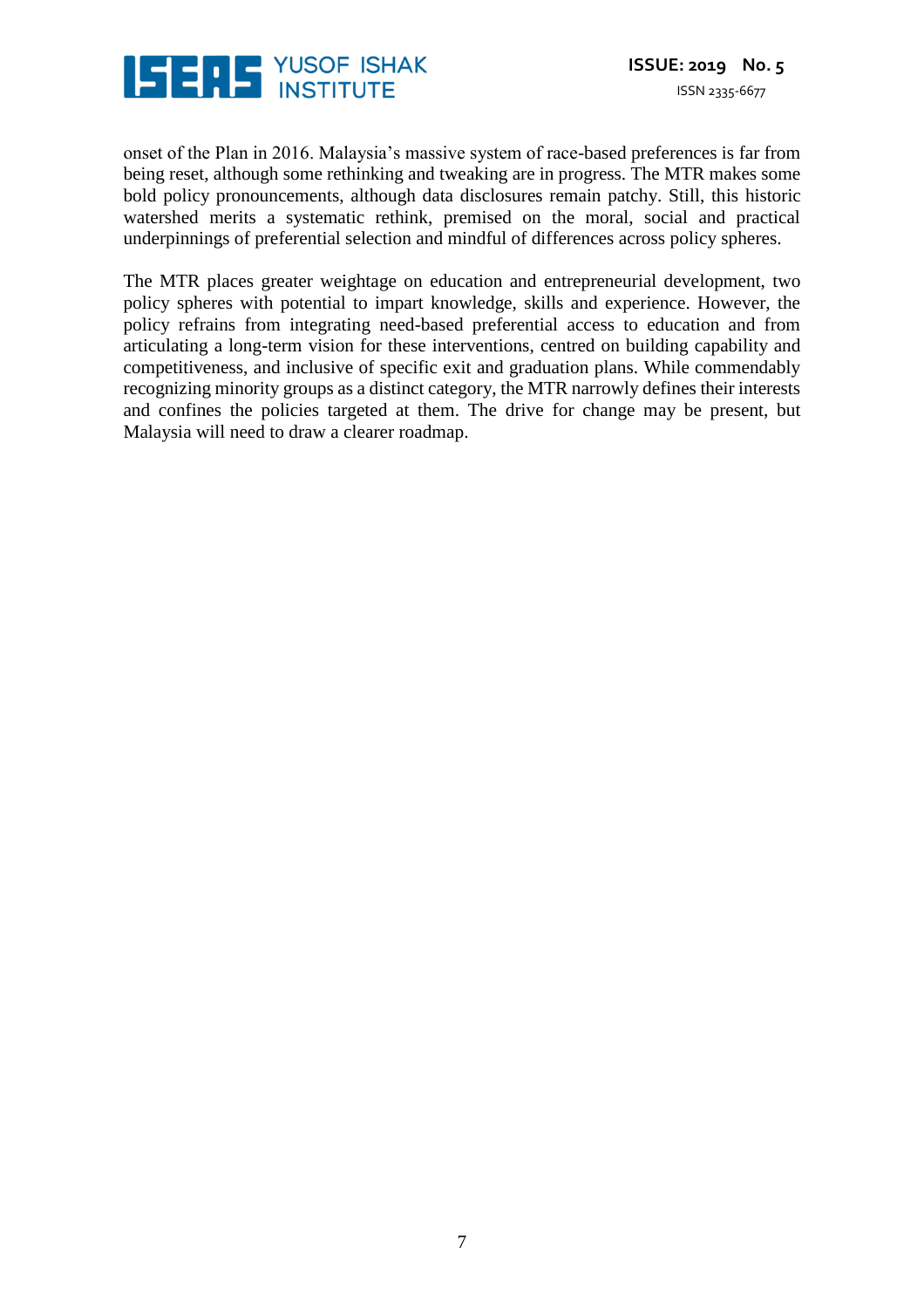

onset of the Plan in 2016. Malaysia's massive system of race-based preferences is far from being reset, although some rethinking and tweaking are in progress. The MTR makes some bold policy pronouncements, although data disclosures remain patchy. Still, this historic watershed merits a systematic rethink, premised on the moral, social and practical underpinnings of preferential selection and mindful of differences across policy spheres.

The MTR places greater weightage on education and entrepreneurial development, two policy spheres with potential to impart knowledge, skills and experience. However, the policy refrains from integrating need-based preferential access to education and from articulating a long-term vision for these interventions, centred on building capability and competitiveness, and inclusive of specific exit and graduation plans. While commendably recognizing minority groups as a distinct category, the MTR narrowly defines their interests and confines the policies targeted at them. The drive for change may be present, but Malaysia will need to draw a clearer roadmap.